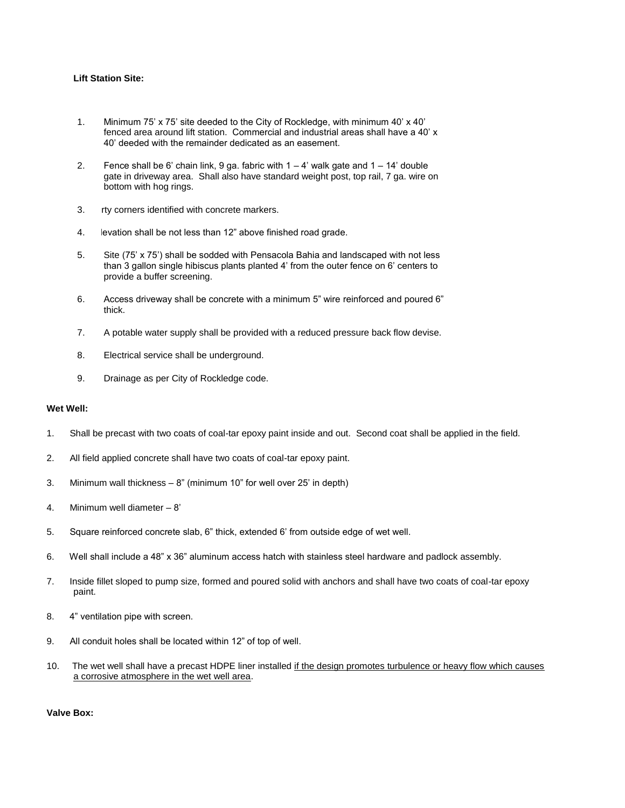# **Lift Station Site:**

- 1. Minimum 75' x 75' site deeded to the City of Rockledge, with minimum 40' x 40' fenced area around lift station. Commercial and industrial areas shall have a 40' x 40' deeded with the remainder dedicated as an easement.
- 2. Fence shall be 6' chain link, 9 ga. fabric with  $1 4$ ' walk gate and  $1 14$ ' double gate in driveway area. Shall also have standard weight post, top rail, 7 ga. wire on bottom with hog rings.
- 3. rty corners identified with concrete markers.
- 4. levation shall be not less than 12" above finished road grade.
- 5. Site (75' x 75') shall be sodded with Pensacola Bahia and landscaped with not less than 3 gallon single hibiscus plants planted 4' from the outer fence on 6' centers to provide a buffer screening.
- 6. Access driveway shall be concrete with a minimum 5" wire reinforced and poured 6" thick.
- 7. A potable water supply shall be provided with a reduced pressure back flow devise.
- 8. Electrical service shall be underground.
- 9. Drainage as per City of Rockledge code.

## **Wet Well:**

- 1. Shall be precast with two coats of coal-tar epoxy paint inside and out. Second coat shall be applied in the field.
- 2. All field applied concrete shall have two coats of coal-tar epoxy paint.
- 3. Minimum wall thickness 8" (minimum 10" for well over 25' in depth)
- 4. Minimum well diameter 8'
- 5. Square reinforced concrete slab, 6" thick, extended 6' from outside edge of wet well.
- 6. Well shall include a 48" x 36" aluminum access hatch with stainless steel hardware and padlock assembly.
- 7. Inside fillet sloped to pump size, formed and poured solid with anchors and shall have two coats of coal-tar epoxy paint.
- 8. 4" ventilation pipe with screen.
- 9. All conduit holes shall be located within 12" of top of well.
- 10. The wet well shall have a precast HDPE liner installed if the design promotes turbulence or heavy flow which causes a corrosive atmosphere in the wet well area.

**Valve Box:**